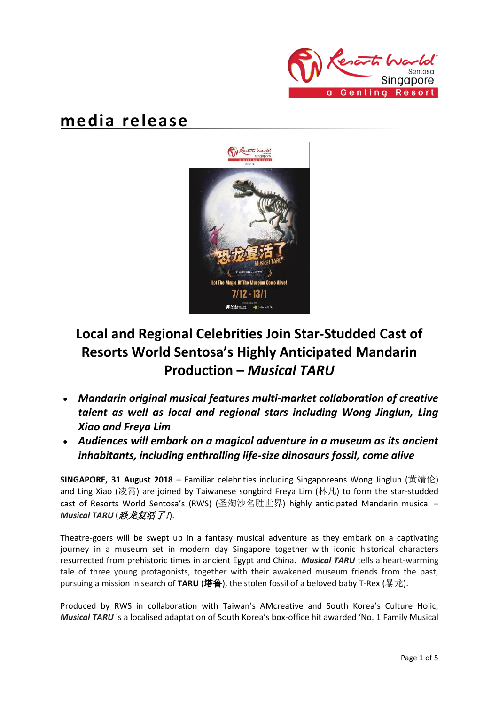

## **media release**



# **Local and Regional Celebrities Join Star-Studded Cast of Resorts World Sentosa's Highly Anticipated Mandarin Production –** *Musical TARU*

- *Mandarin original musical features multi-market collaboration of creative talent as well as local and regional stars including Wong Jinglun, Ling Xiao and Freya Lim*
- *Audiences will embark on a magical adventure in a museum as its ancient inhabitants, including enthralling life-size dinosaurs fossil, come alive*

**SINGAPORE, 31 August 2018** – Familiar celebrities including Singaporeans Wong Jinglun (黄靖伦) and Ling Xiao (凌霄) are joined by Taiwanese songbird Freya Lim (林凡) to form the star-studded cast of Resorts World Sentosa's (RWS) (圣淘沙名胜世界) highly anticipated Mandarin musical – *Musical TARU* (恐龙复活了!).

Theatre-goers will be swept up in a fantasy musical adventure as they embark on a captivating journey in a museum set in modern day Singapore together with iconic historical characters resurrected from prehistoric times in ancient Egypt and China. *Musical TARU* tells a heart-warming tale of three young protagonists, together with their awakened museum friends from the past, pursuing a mission in search of **TARU** (塔鲁), the stolen fossil of a beloved baby T-Rex (暴龙).

Produced by RWS in collaboration with Taiwan's AMcreative and South Korea's Culture Holic, *Musical TARU* is a localised adaptation of South Korea's box-office hit awarded 'No. 1 Family Musical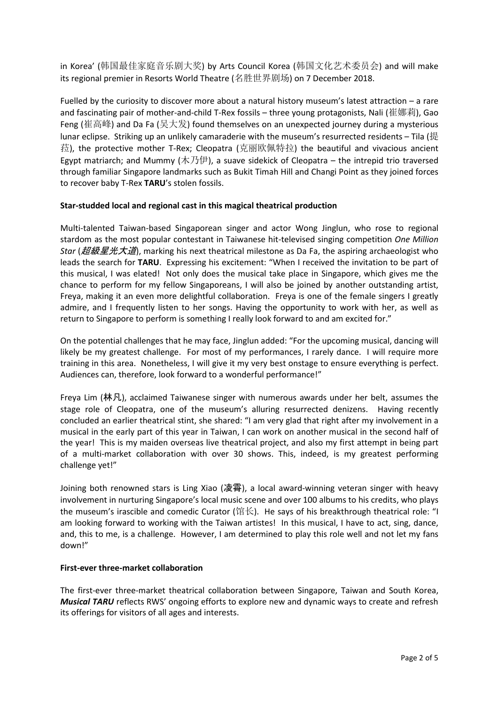in Korea' (韩国最佳家庭音乐剧大奖) by Arts Council Korea (韩国文化艺术委员会) and will make its regional premier in Resorts World Theatre (名胜世界剧场) on 7 December 2018.

Fuelled by the curiosity to discover more about a natural history museum's latest attraction – a rare and fascinating pair of mother-and-child T-Rex fossils – three young protagonists, Nali (崔娜莉), Gao Feng (崔高峰) and Da Fa (吴大发) found themselves on an unexpected journey during a mysterious lunar eclipse. Striking up an unlikely camaraderie with the museum's resurrected residents – Tila (提 菈), the protective mother T-Rex; Cleopatra (克丽欧佩特拉) the beautiful and vivacious ancient Egypt matriarch; and Mummy (木乃伊), a suave sidekick of Cleopatra – the intrepid trio traversed through familiar Singapore landmarks such as Bukit Timah Hill and Changi Point as they joined forces to recover baby T-Rex **TARU**'s stolen fossils.

## **Star-studded local and regional cast in this magical theatrical production**

Multi-talented Taiwan-based Singaporean singer and actor Wong Jinglun, who rose to regional stardom as the most popular contestant in Taiwanese hit-televised singing competition *One Million Star (超級星光大道)*, marking his next theatrical milestone as Da Fa, the aspiring archaeologist who leads the search for **TARU**. Expressing his excitement: "When I received the invitation to be part of this musical, I was elated! Not only does the musical take place in Singapore, which gives me the chance to perform for my fellow Singaporeans, I will also be joined by another outstanding artist, Freya, making it an even more delightful collaboration. Freya is one of the female singers I greatly admire, and I frequently listen to her songs. Having the opportunity to work with her, as well as return to Singapore to perform is something I really look forward to and am excited for."

On the potential challenges that he may face, Jinglun added: "For the upcoming musical, dancing will likely be my greatest challenge. For most of my performances, I rarely dance. I will require more training in this area. Nonetheless, I will give it my very best onstage to ensure everything is perfect. Audiences can, therefore, look forward to a wonderful performance!"

Freya Lim (林凡), acclaimed Taiwanese singer with numerous awards under her belt, assumes the stage role of Cleopatra, one of the museum's alluring resurrected denizens. Having recently concluded an earlier theatrical stint, she shared: "I am very glad that right after my involvement in a musical in the early part of this year in Taiwan, I can work on another musical in the second half of the year! This is my maiden overseas live theatrical project, and also my first attempt in being part of a multi-market collaboration with over 30 shows. This, indeed, is my greatest performing challenge yet!"

Joining both renowned stars is Ling Xiao (凌霄), a local award-winning veteran singer with heavy involvement in nurturing Singapore's local music scene and over 100 albums to his credits, who plays the museum's irascible and comedic Curator (馆长). He says of his breakthrough theatrical role: "I am looking forward to working with the Taiwan artistes! In this musical, I have to act, sing, dance, and, this to me, is a challenge. However, I am determined to play this role well and not let my fans down!"

## **First-ever three-market collaboration**

The first-ever three-market theatrical collaboration between Singapore, Taiwan and South Korea, *Musical TARU* reflects RWS' ongoing efforts to explore new and dynamic ways to create and refresh its offerings for visitors of all ages and interests.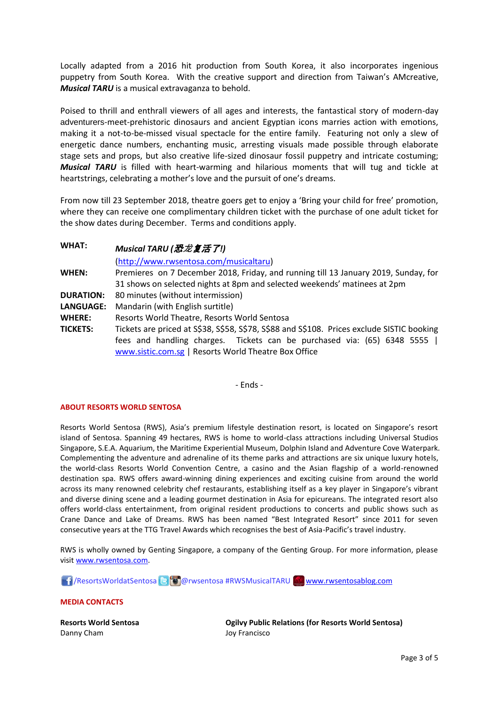Locally adapted from a 2016 hit production from South Korea, it also incorporates ingenious puppetry from South Korea. With the creative support and direction from Taiwan's AMcreative, *Musical TARU* is a musical extravaganza to behold.

Poised to thrill and enthrall viewers of all ages and interests, the fantastical story of modern-day adventurers-meet-prehistoric dinosaurs and ancient Egyptian icons marries action with emotions, making it a not-to-be-missed visual spectacle for the entire family. Featuring not only a slew of energetic dance numbers, enchanting music, arresting visuals made possible through elaborate stage sets and props, but also creative life-sized dinosaur fossil puppetry and intricate costuming; *Musical TARU* is filled with heart-warming and hilarious moments that will tug and tickle at heartstrings, celebrating a mother's love and the pursuit of one's dreams.

From now till 23 September 2018, theatre goers get to enjoy a 'Bring your child for free' promotion, where they can receive one complimentary children ticket with the purchase of one adult ticket for the show dates during December. Terms and conditions apply.

| <b>WHAT:</b>     | Musical TARU (恐龙复活了!)                                                                      |
|------------------|--------------------------------------------------------------------------------------------|
|                  | (http://www.rwsentosa.com/musicaltaru)                                                     |
| <b>WHEN:</b>     | Premieres on 7 December 2018, Friday, and running till 13 January 2019, Sunday, for        |
|                  | 31 shows on selected nights at 8pm and selected weekends' matinees at 2pm                  |
| <b>DURATION:</b> | 80 minutes (without intermission)                                                          |
| LANGUAGE:        | Mandarin (with English surtitle)                                                           |
| <b>WHERE:</b>    | Resorts World Theatre, Resorts World Sentosa                                               |
| <b>TICKETS:</b>  | Tickets are priced at S\$38, S\$58, S\$78, S\$88 and S\$108. Prices exclude SISTIC booking |
|                  | fees and handling charges. Tickets can be purchased via: (65) 6348 5555                    |
|                  | www.sistic.com.sg   Resorts World Theatre Box Office                                       |

- Ends -

### **ABOUT RESORTS WORLD SENTOSA**

Resorts World Sentosa (RWS), Asia's premium lifestyle destination resort, is located on Singapore's resort island of Sentosa. Spanning 49 hectares, RWS is home to world-class attractions including Universal Studios Singapore, S.E.A. Aquarium, the Maritime Experiential Museum, Dolphin Island and Adventure Cove Waterpark. Complementing the adventure and adrenaline of its theme parks and attractions are six unique luxury hotels, the world-class Resorts World Convention Centre, a casino and the Asian flagship of a world-renowned destination spa. RWS offers award-winning dining experiences and exciting cuisine from around the world across its many renowned celebrity chef restaurants, establishing itself as a key player in Singapore's vibrant and diverse dining scene and a leading gourmet destination in Asia for epicureans. The integrated resort also offers world-class entertainment, from original resident productions to concerts and public shows such as Crane Dance and Lake of Dreams. RWS has been named "Best Integrated Resort" since 2011 for seven consecutive years at the TTG Travel Awards which recognises the best of Asia-Pacific's travel industry.

RWS is wholly owned by Genting Singapore, a company of the Genting Group. For more information, please visi[t www.rwsentosa.com.](http://www.rwsentosa.com/)

1 / ResortsWorldatSentosa **& @** @ rwsentosa #RWSMusicalTARU [www.rwsentosablog.com](http://www.rwsentosablog.com/)

**MEDIA CONTACTS**

**Resorts World Sentosa** Danny Cham

**Ogilvy Public Relations (for Resorts World Sentosa)** Joy Francisco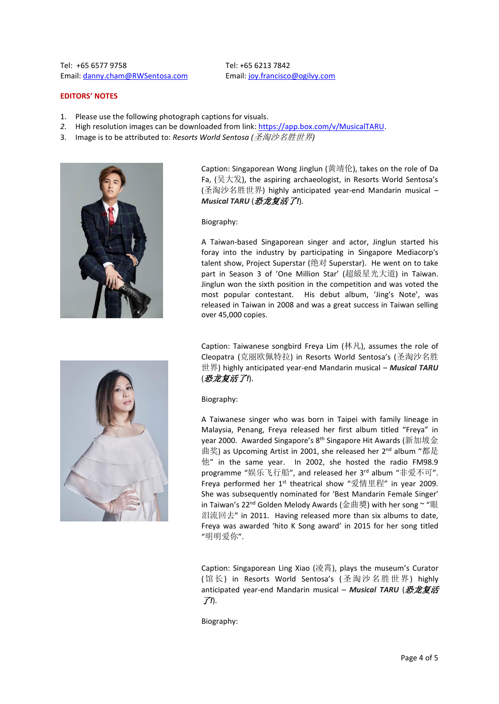Tel: +65 6577 9758 Email: [danny.cham@RWSentosa.com](mailto:danny.cham@RWSentosa.com) Tel: +65 6213 7842 Email[: joy.francisco@ogilvy.com](mailto:joy.francisco@ogilvy.com)

#### **EDITORS' NOTES**

- 1. Please use the following photograph captions for visuals.
- *2.* High resolution images can be downloaded from link[: https://app.box.com/v/MusicalTARU.](https://app.box.com/v/MusicalTARU)
- 3. Image is to be attributed to: *Resorts World Sentosa (*圣淘沙名胜世界*)*



Caption: Singaporean Wong Jinglun (黄靖伦), takes on the role of Da Fa, (吴大发), the aspiring archaeologist, in Resorts World Sentosa's (圣淘沙名胜世界) highly anticipated year-end Mandarin musical – *Musical TARU* (恐龙复活了*!*).

#### Biography:

A Taiwan-based Singaporean singer and actor, Jinglun started his foray into the industry by participating in Singapore Mediacorp's talent show, Project Superstar (绝对 Superstar). He went on to take part in Season 3 of 'One Million Star' (超級星光大道) in Taiwan. Jinglun won the sixth position in the competition and was voted the most popular contestant. His debut album, 'Jing's Note', was released in Taiwan in 2008 and was a great success in Taiwan selling over 45,000 copies.

Caption: Taiwanese songbird Freya Lim (林凡), assumes the role of Cleopatra (克丽欧佩特拉) in Resorts World Sentosa's (圣淘沙名胜 世界) highly anticipated year-end Mandarin musical – *Musical TARU* (恐龙复活了*!*).

Biography:

A Taiwanese singer who was born in Taipei with family lineage in Malaysia, Penang, Freya released her first album titled "Freya" in year 2000. Awarded Singapore's 8<sup>th</sup> Singapore Hit Awards (新加坡金 曲奖) as Upcoming Artist in 2001, she released her 2<sup>nd</sup> album "都是 他" in the same year. In 2002, she hosted the radio FM98.9 programme "娱乐飞行船", and released her 3<sup>rd</sup> album "非爱不可". Freya performed her  $1^{st}$  theatrical show "爱情里程" in year 2009. She was subsequently nominated for 'Best Mandarin Female Singer' in Taiwan's 22<sup>nd</sup> Golden Melody Awards (金曲獎) with her song ~ "眼 泪流回去" in 2011. Having released more than six albums to date, Freya was awarded 'hito K Song award' in 2015 for her song titled "明明爱你".

Caption: Singaporean Ling Xiao (凌霄), plays the museum's Curator (馆长) in Resorts World Sentosa's (圣淘沙名胜世界) highly anticipated year-end Mandarin musical - Musical TARU (恐龙复活 了*!*).

Biography: